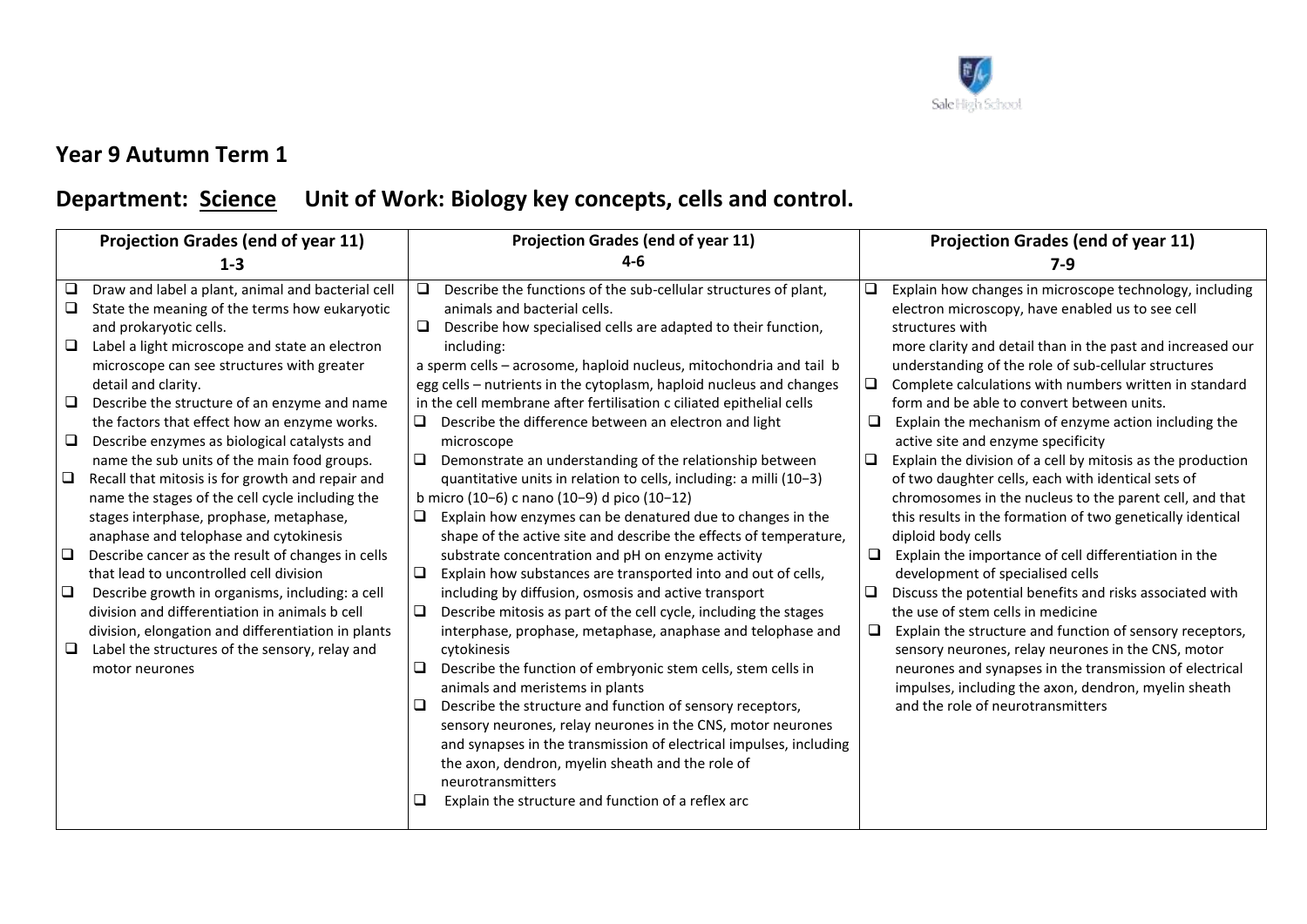

## **Year 9 Autumn Term 1**

## Department: **Science** Unit of Work: Biology key concepts, cells and control.

| <b>Projection Grades (end of year 11)</b> |                                                                                                                                              | Projection Grades (end of year 11) |                                                                                                                                                                  | <b>Projection Grades (end of year 11)</b> |                                                                                                                                          |
|-------------------------------------------|----------------------------------------------------------------------------------------------------------------------------------------------|------------------------------------|------------------------------------------------------------------------------------------------------------------------------------------------------------------|-------------------------------------------|------------------------------------------------------------------------------------------------------------------------------------------|
|                                           | 1-3                                                                                                                                          |                                    | $4-6$                                                                                                                                                            |                                           | 7-9                                                                                                                                      |
| ❏                                         | Draw and label a plant, animal and bacterial cell<br>State the meaning of the terms how eukaryotic<br>and prokaryotic cells.                 | $\Box$                             | Describe the functions of the sub-cellular structures of plant,<br>animals and bacterial cells.<br>Describe how specialised cells are adapted to their function, | $\Box$                                    | Explain how changes in microscope technology, including<br>electron microscopy, have enabled us to see cell<br>structures with           |
| $\Box$                                    | Label a light microscope and state an electron<br>microscope can see structures with greater                                                 |                                    | including:<br>a sperm cells - acrosome, haploid nucleus, mitochondria and tail b                                                                                 |                                           | more clarity and detail than in the past and increased our<br>understanding of the role of sub-cellular structures                       |
|                                           | detail and clarity.                                                                                                                          |                                    | egg cells - nutrients in the cytoplasm, haploid nucleus and changes                                                                                              | $\Box$                                    | Complete calculations with numbers written in standard                                                                                   |
| ⊔<br>$\Box$                               | Describe the structure of an enzyme and name<br>the factors that effect how an enzyme works.<br>Describe enzymes as biological catalysts and |                                    | in the cell membrane after fertilisation c ciliated epithelial cells<br>Describe the difference between an electron and light<br>microscope                      | □                                         | form and be able to convert between units.<br>Explain the mechanism of enzyme action including the<br>active site and enzyme specificity |
|                                           | name the sub units of the main food groups.                                                                                                  | $\Box$                             | Demonstrate an understanding of the relationship between                                                                                                         | ❏                                         | Explain the division of a cell by mitosis as the production                                                                              |
| $\Box$                                    | Recall that mitosis is for growth and repair and<br>name the stages of the cell cycle including the                                          |                                    | quantitative units in relation to cells, including: a milli (10-3)<br>b micro (10-6) c nano (10-9) d pico (10-12)                                                |                                           | of two daughter cells, each with identical sets of<br>chromosomes in the nucleus to the parent cell, and that                            |
|                                           | stages interphase, prophase, metaphase,<br>anaphase and telophase and cytokinesis                                                            | $\Box$                             | Explain how enzymes can be denatured due to changes in the<br>shape of the active site and describe the effects of temperature,                                  |                                           | this results in the formation of two genetically identical<br>diploid body cells                                                         |
| $\Box$                                    | Describe cancer as the result of changes in cells<br>that lead to uncontrolled cell division                                                 | $\Box$                             | substrate concentration and pH on enzyme activity<br>Explain how substances are transported into and out of cells,                                               | $\Box$                                    | Explain the importance of cell differentiation in the<br>development of specialised cells                                                |
| $\Box$                                    | Describe growth in organisms, including: a cell<br>division and differentiation in animals b cell                                            |                                    | including by diffusion, osmosis and active transport<br>Describe mitosis as part of the cell cycle, including the stages                                         | $\Box$                                    | Discuss the potential benefits and risks associated with<br>the use of stem cells in medicine                                            |
| ⊔                                         | division, elongation and differentiation in plants<br>Label the structures of the sensory, relay and                                         |                                    | interphase, prophase, metaphase, anaphase and telophase and<br>cytokinesis                                                                                       | $\Box$                                    | Explain the structure and function of sensory receptors,<br>sensory neurones, relay neurones in the CNS, motor                           |
|                                           | motor neurones                                                                                                                               | ❏                                  | Describe the function of embryonic stem cells, stem cells in<br>animals and meristems in plants                                                                  |                                           | neurones and synapses in the transmission of electrical<br>impulses, including the axon, dendron, myelin sheath                          |
|                                           |                                                                                                                                              |                                    | Describe the structure and function of sensory receptors,<br>sensory neurones, relay neurones in the CNS, motor neurones                                         |                                           | and the role of neurotransmitters                                                                                                        |
|                                           |                                                                                                                                              |                                    | and synapses in the transmission of electrical impulses, including<br>the axon, dendron, myelin sheath and the role of                                           |                                           |                                                                                                                                          |
|                                           |                                                                                                                                              |                                    | neurotransmitters                                                                                                                                                |                                           |                                                                                                                                          |
|                                           |                                                                                                                                              |                                    | Explain the structure and function of a reflex arc                                                                                                               |                                           |                                                                                                                                          |